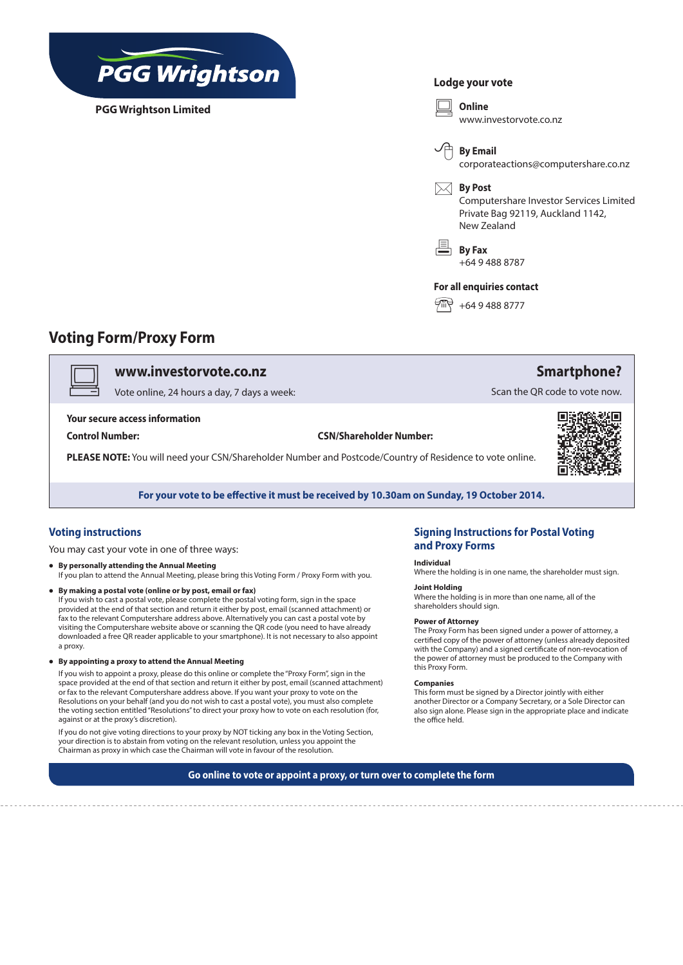

**PGG Wrightson Limited**

## **Lodge your vote**



## **Voting Form/Proxy Form**

v **www.investorvote.co.nz**

Vote online, 24 hours a day, 7 days a week:

**Your secure access information**

**Control Number: CSN/Shareholder Number:**

**PLEASE NOTE:** You will need your CSN/Shareholder Number and Postcode/Country of Residence to vote online.



П



**For your vote to be effective it must be received by 10.30am on Sunday, 19 October 2014.**

## **Voting instructions**

You may cast your vote in one of three ways:

- **• By personally attending the Annual Meeting** If you plan to attend the Annual Meeting, please bring this Voting Form / Proxy Form with you.
- **• By making a postal vote (online or by post, email or fax)**  If you wish to cast a postal vote, please complete the postal voting form, sign in the space provided at the end of that section and return it either by post, email (scanned attachment) or fax to the relevant Computershare address above. Alternatively you can cast a postal vote by visiting the Computershare website above or scanning the QR code (you need to have already downloaded a free QR reader applicable to your smartphone). It is not necessary to also appoint a proxy.
- **• By appointing a proxy to attend the Annual Meeting**

If you wish to appoint a proxy, please do this online or complete the "Proxy Form", sign in the space provided at the end of that section and return it either by post, email (scanned attachment) or fax to the relevant Computershare address above. If you want your proxy to vote on the Resolutions on your behalf (and you do not wish to cast a postal vote), you must also complete the voting section entitled "Resolutions" to direct your proxy how to vote on each resolution (for, against or at the proxy's discretion).

If you do not give voting directions to your proxy by NOT ticking any box in the Voting Section, your direction is to abstain from voting on the relevant resolution, unless you appoint the Chairman as proxy in which case the Chairman will vote in favour of the resolution.

## **Signing Instructions for Postal Voting and Proxy Forms**

### **Individual**

Where the holding is in one name, the shareholder must sign.

## **Joint Holding**

Where the holding is in more than one name, all of the shareholders should sign.

#### **Power of Attorney**

The Proxy Form has been signed under a power of attorney, a certified copy of the power of attorney (unless already deposited with the Company) and a signed certificate of non-revocation of the power of attorney must be produced to the Company with this Proxy Form.

#### **Companies**

This form must be signed by a Director jointly with either another Director or a Company Secretary, or a Sole Director can also sign alone. Please sign in the appropriate place and indicate the office held.

**Go online to vote or appoint a proxy, or turn over to complete the form**